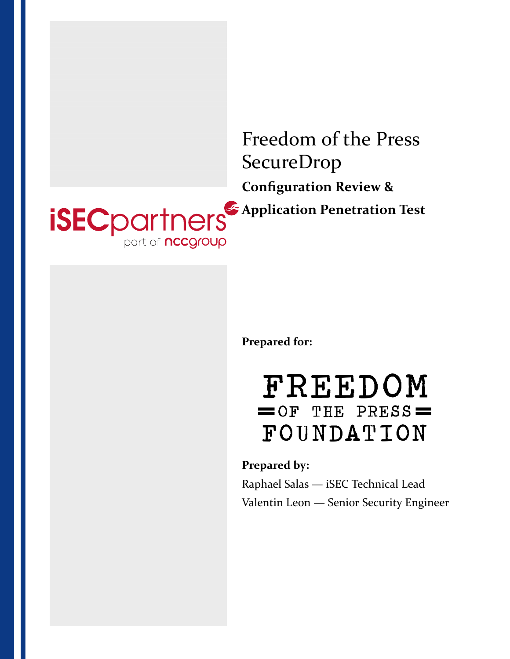

**Prepared for:**

# FREEDOM  $=$  OF THE PRESS $=$ FOUNDATION

**Prepared by:** Raphael Salas — iSEC Technical Lead Valentin Leon — Senior Security Engineer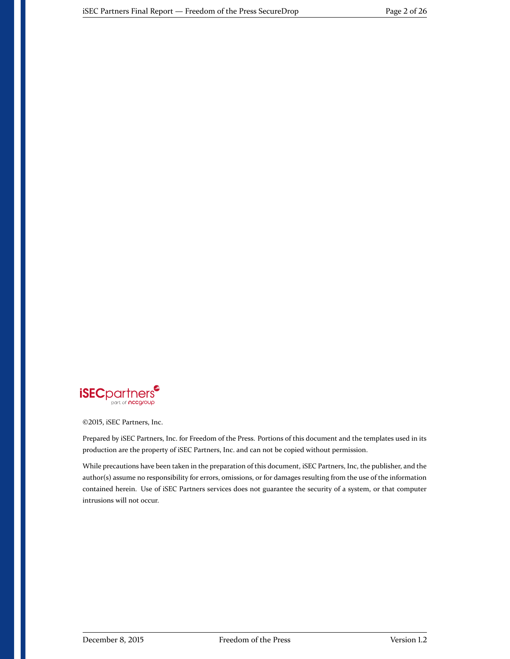

©2015, iSEC Partners, Inc.

Prepared by iSEC Partners, Inc. for Freedom of the Press. Portions of this document and the templates used in its production are the property of iSEC Partners, Inc. and can not be copied without permission.

While precautions have been taken in the preparation of this document, iSEC Partners, Inc, the publisher, and the author(s) assume no responsibility for errors, omissions, or for damages resulting from the use of the information contained herein. Use of iSEC Partners services does not guarantee the security of a system, or that computer intrusions will not occur.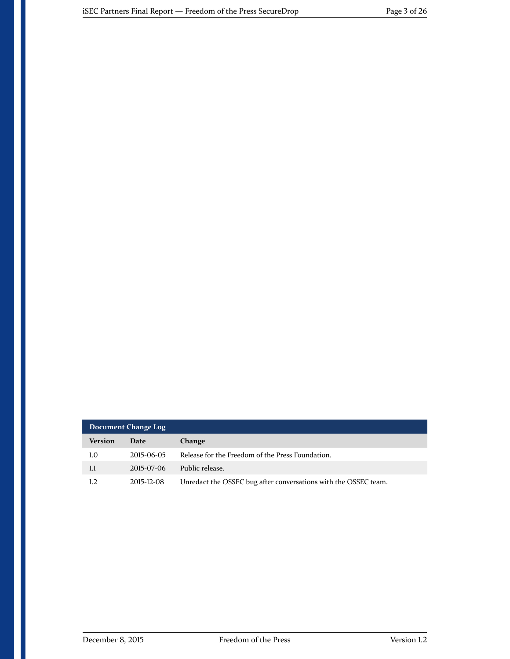| Document Change Log |            |                                                                 |
|---------------------|------------|-----------------------------------------------------------------|
| Version             | Date       | Change                                                          |
| 1.0                 | 2015-06-05 | Release for the Freedom of the Press Foundation.                |
| 1.1                 | 2015-07-06 | Public release.                                                 |
| 1.2                 | 2015-12-08 | Unredact the OSSEC bug after conversations with the OSSEC team. |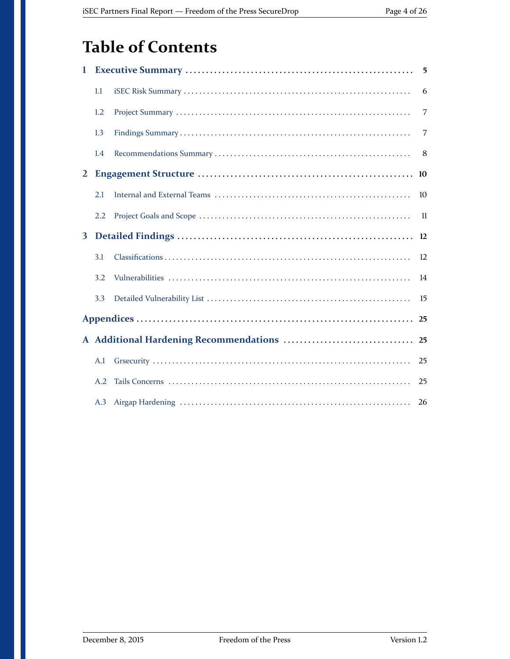## **Table of Contents**

| 1            |     | 5  |
|--------------|-----|----|
|              | 1.1 | 6  |
|              | 1.2 | 7  |
|              | 1.3 | 7  |
|              | 1.4 | 8  |
| $\mathbf{2}$ |     |    |
|              | 2.1 | 10 |
|              | 2.2 | 11 |
| 3            |     | 12 |
|              | 3.1 | 12 |
|              | 3.2 | 14 |
|              | 3.3 | 15 |
|              |     | 25 |
|              |     |    |
|              | A.1 | 25 |
|              | A.2 | 25 |
|              |     | 26 |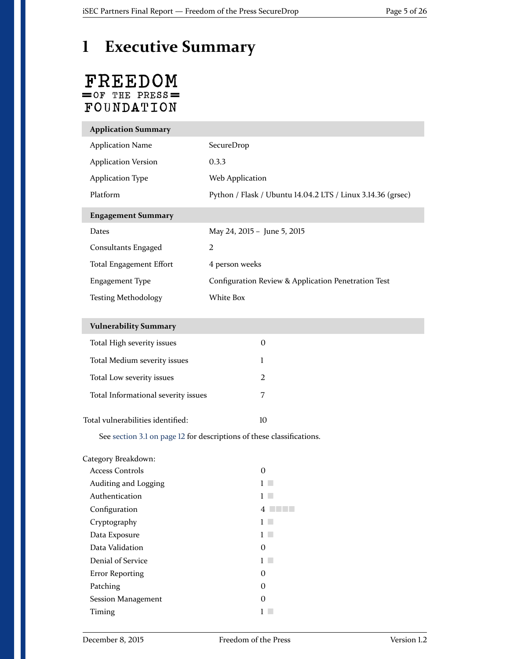## <span id="page-4-0"></span>**1 Executive Summary**

### FREEDOM  $=$  OF THE PRESS $=$  ${\tt FOUNDATION}$

I

| <b>Application Summary</b> |                                                             |
|----------------------------|-------------------------------------------------------------|
| <b>Application Name</b>    | SecureDrop                                                  |
| <b>Application Version</b> | 0.3.3                                                       |
| <b>Application Type</b>    | Web Application                                             |
| <b>Platform</b>            | Python / Flask / Ubuntu 14.04.2 LTS / Linux 3.14.36 (grsec) |
| <b>Engagement Summary</b>  |                                                             |
| Dates                      | May 24, 2015 - June 5, 2015                                 |
| Consultants Engaged        | 2                                                           |
| Total Engagement Effort    | 4 person weeks                                              |
| Engagement Type            | Configuration Review & Application Penetration Test         |
| <b>Testing Methodology</b> | White Box                                                   |

| <b>Vulnerability Summary</b>        |    |
|-------------------------------------|----|
| Total High severity issues          | O  |
| Total Medium severity issues        |    |
| Total Low severity issues           | 2  |
| Total Informational severity issues | 7  |
| Total vulnerabilities identified:   | 10 |

See [section 3.1 on page 12](#page-11-1) for descriptions of these classifications.

| Category Breakdown:  |   |
|----------------------|---|
| Access Controls      | O |
| Auditing and Logging |   |
| Authentication       |   |
| Configuration        | 4 |
| Cryptography         |   |
| Data Exposure        |   |
| Data Validation      | O |
| Denial of Service    |   |
| Error Reporting      | O |
| Patching             | O |
| Session Management   | O |
| Timing               |   |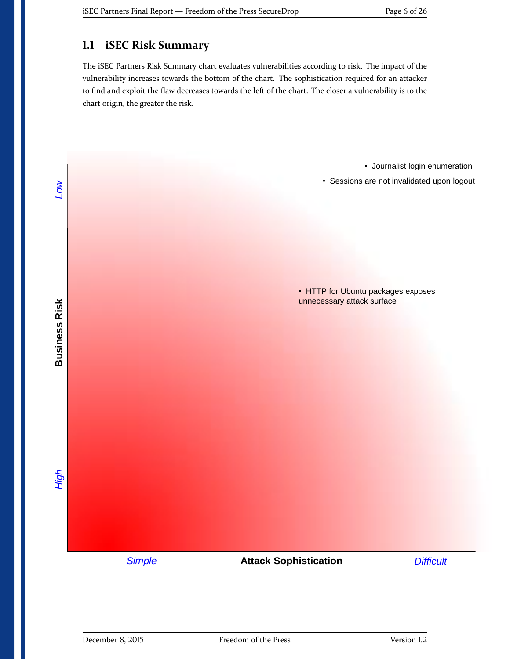### <span id="page-5-0"></span>**1.1 iSEC Risk Summary**

The iSEC Partners Risk Summary chart evaluates vulnerabilities according to risk. The impact of the vulnerability increases towards the bottom of the chart. The sophistication required for an attacker to find and exploit the flaw decreases towards the left of the chart. The closer a vulnerability is to the chart origin, the greater the risk.

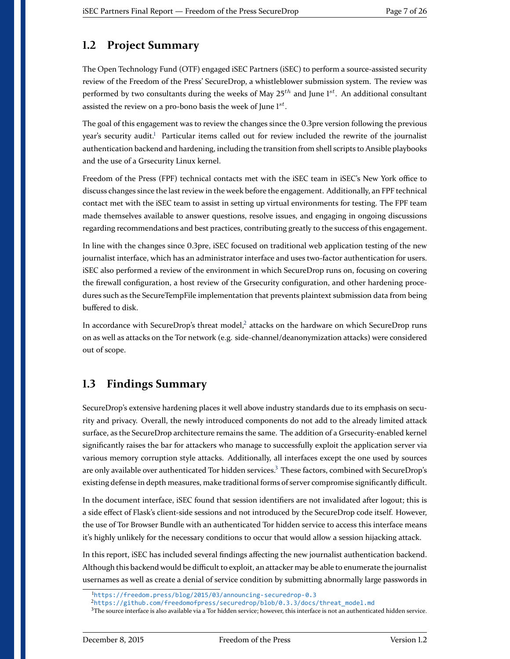#### <span id="page-6-0"></span>**1.2 Project Summary**

The Open Technology Fund (OTF) engaged iSEC Partners (iSEC) to perform a source-assisted security review of the Freedom of the Press' SecureDrop, a whistleblower submission system. The review was performed by two consultants during the weeks of May  $25^{th}$  and June  $1^{st}$ . An additional consultant assisted the review on a pro-bono basis the week of June  $1^{st}$ .

The goal of this engagement was to review the changes since the 0.3pre version following the previous year's security audit.<sup>[1](#page-6-2)</sup> Particular items called out for review included the rewrite of the journalist authentication backend and hardening, including the transition from shell scripts to Ansible playbooks and the use of a Grsecurity Linux kernel.

Freedom of the Press (FPF) technical contacts met with the iSEC team in iSEC's New York office to discuss changes since the last review in the week before the engagement. Additionally, an FPF technical contact met with the iSEC team to assist in setting up virtual environments for testing. The FPF team made themselves available to answer questions, resolve issues, and engaging in ongoing discussions regarding recommendations and best practices, contributing greatly to the success of this engagement.

In line with the changes since 0.3pre, iSEC focused on traditional web application testing of the new journalist interface, which has an administrator interface and uses two-factor authentication for users. iSEC also performed a review of the environment in which SecureDrop runs on, focusing on covering the firewall configuration, a host review of the Grsecurity configuration, and other hardening procedures such as the SecureTempFile implementation that prevents plaintext submission data from being buffered to disk.

In accordance with SecureDrop's threat model, $^2$  $^2$  attacks on the hardware on which SecureDrop runs on as well as attacks on the Tor network (e.g. side-channel/deanonymization attacks) were considered out of scope.

#### <span id="page-6-1"></span>**1.3 Findings Summary**

SecureDrop's extensive hardening places it well above industry standards due to its emphasis on security and privacy. Overall, the newly introduced components do not add to the already limited attack surface, as the SecureDrop architecture remains the same. The addition of a Grsecurity-enabled kernel significantly raises the bar for attackers who manage to successfully exploit the application server via various memory corruption style attacks. Additionally, all interfaces except the one used by sources are only available over authenticated Tor hidden services.<sup>[3](#page-6-4)</sup> These factors, combined with SecureDrop's existing defense in depth measures, make traditional forms of server compromise significantly difficult.

In the document interface, iSEC found that session identifiers are not invalidated after logout; this is a side effect of Flask's client-side sessions and not introduced by the SecureDrop code itself. However, the use of Tor Browser Bundle with an authenticated Tor hidden service to access this interface means it's highly unlikely for the necessary conditions to occur that would allow a session hijacking attack.

In this report, iSEC has included several findings affecting the new journalist authentication backend. Although this backend would be difficult to exploit, an attacker may be able to enumerate the journalist usernames as well as create a denial of service condition by submitting abnormally large passwords in

<span id="page-6-2"></span><sup>1</sup><https://freedom.press/blog/2015/03/announcing-securedrop-0.3>

<span id="page-6-3"></span><sup>2</sup>[https://github.com/freedomofpress/securedrop/blob/0.3.3/docs/threat\\_model.md](https://github.com/freedom ofpress/securedrop/blob/0.3.3/docs/threat_model.md)

<span id="page-6-4"></span> ${}^{3}$ The source interface is also available via a Tor hidden service; however, this interface is not an authenticated hidden service.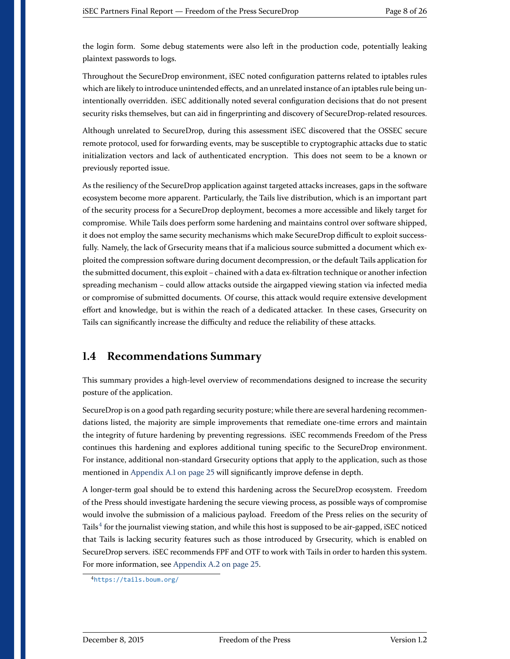the login form. Some debug statements were also left in the production code, potentially leaking plaintext passwords to logs.

Throughout the SecureDrop environment, iSEC noted configuration patterns related to iptables rules which are likely to introduce unintended effects, and an unrelated instance of an iptables rule being unintentionally overridden. iSEC additionally noted several configuration decisions that do not present security risks themselves, but can aid in fingerprinting and discovery of SecureDrop-related resources.

Although unrelated to SecureDrop, during this assessment iSEC discovered that the OSSEC secure remote protocol, used for forwarding events, may be susceptible to cryptographic attacks due to static initialization vectors and lack of authenticated encryption. This does not seem to be a known or previously reported issue.

As the resiliency of the SecureDrop application against targeted attacks increases, gaps in the software ecosystem become more apparent. Particularly, the Tails live distribution, which is an important part of the security process for a SecureDrop deployment, becomes a more accessible and likely target for compromise. While Tails does perform some hardening and maintains control over software shipped, it does not employ the same security mechanisms which make SecureDrop difficult to exploit successfully. Namely, the lack of Grsecurity means that if a malicious source submitted a document which exploited the compression software during document decompression, or the default Tails application for the submitted document, this exploit – chained with a data ex-filtration technique or another infection spreading mechanism – could allow attacks outside the airgapped viewing station via infected media or compromise of submitted documents. Of course, this attack would require extensive development effort and knowledge, but is within the reach of a dedicated attacker. In these cases, Grsecurity on Tails can significantly increase the difficulty and reduce the reliability of these attacks.

#### <span id="page-7-0"></span>**1.4 Recommendations Summary**

This summary provides a high-level overview of recommendations designed to increase the security posture of the application.

SecureDrop is on a good path regarding security posture; while there are several hardening recommendations listed, the majority are simple improvements that remediate one-time errors and maintain the integrity of future hardening by preventing regressions. iSEC recommends Freedom of the Press continues this hardening and explores additional tuning specific to the SecureDrop environment. For instance, additional non-standard Grsecurity options that apply to the application, such as those mentioned in [Appendix A.1 on page 25](#page-24-1) will significantly improve defense in depth.

A longer-term goal should be to extend this hardening across the SecureDrop ecosystem. Freedom of the Press should investigate hardening the secure viewing process, as possible ways of compromise would involve the submission of a malicious payload. Freedom of the Press relies on the security of Tails<sup>[4](#page-7-1)</sup> for the journalist viewing station, and while this host is supposed to be air-gapped, iSEC noticed that Tails is lacking security features such as those introduced by Grsecurity, which is enabled on SecureDrop servers. iSEC recommends FPF and OTF to work with Tails in order to harden this system. For more information, see [Appendix A.2 on page 25.](#page-24-2)

<span id="page-7-1"></span><sup>4</sup><https://tails.boum.org/>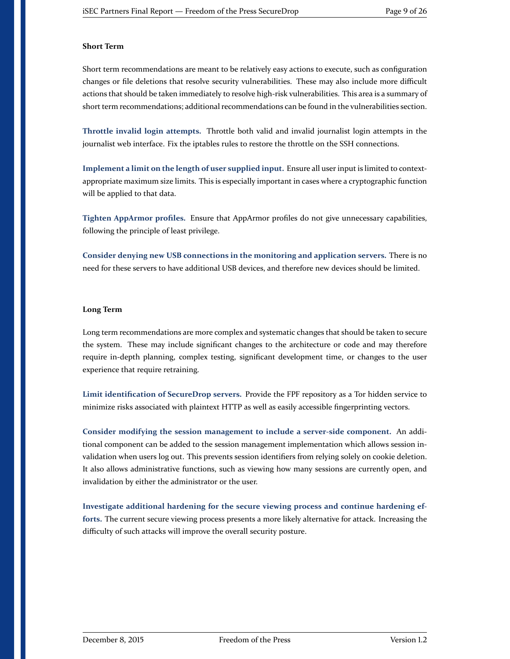#### **Short Term**

Short term recommendations are meant to be relatively easy actions to execute, such as configuration changes or file deletions that resolve security vulnerabilities. These may also include more difficult actions that should be taken immediately to resolve high-risk vulnerabilities. This area is a summary of short term recommendations; additional recommendations can be found in the vulnerabilities section.

**Throttle invalid login attempts.** [Throttle both valid and invalid journalist login attempts in the](#page-16-0) [journalist web interface. Fix the iptables rules to restore the throttle on the SSH connections.](#page-16-0)

**[Implement a limit on the length of user supplied input.](#page-21-0)** Ensure all user input is limited to context[appropriate maximum size limits. This is especially important in cases where a cryptographic function](#page-21-0) [will be applied to that data.](#page-21-0)

**Tighten AppArmor profiles.** [Ensure that AppArmor profiles do not give unnecessary capabilities,](#page-22-0) [following the principle of least privilege.](#page-22-0)

**[Consider denying new USB connections in the monitoring and application servers.](#page-24-1)** There is no [need for these servers to have additional USB devices, and therefore new devices should be limited.](#page-24-1)

#### **Long Term**

Long term recommendations are more complex and systematic changes that should be taken to secure the system. These may include significant changes to the architecture or code and may therefore require in-depth planning, complex testing, significant development time, or changes to the user experience that require retraining.

**Limit identification of SecureDrop servers.** [Provide the FPF repository as a Tor hidden service to](#page-14-1) [minimize risks associated with plaintext HTTP as well as easily accessible fingerprinting vectors.](#page-14-1)

**[Consider modifying the session management to include a server-side component.](#page-15-0)** An addi[tional component can be added to the session management implementation which allows session in](#page-15-0)[validation when users log out. This prevents session identifiers from relying solely on cookie deletion.](#page-15-0) [It also allows administrative functions, such as viewing how many sessions are currently open, and](#page-15-0) [invalidation by either the administrator or the user.](#page-15-0)

**[Investigate additional hardening for the secure viewing process and continue hardening ef](#page-25-1)forts.** [The current secure viewing process presents a more likely alternative for attack. Increasing the](#page-25-1) [difficulty of such attacks will improve the overall security posture.](#page-25-1)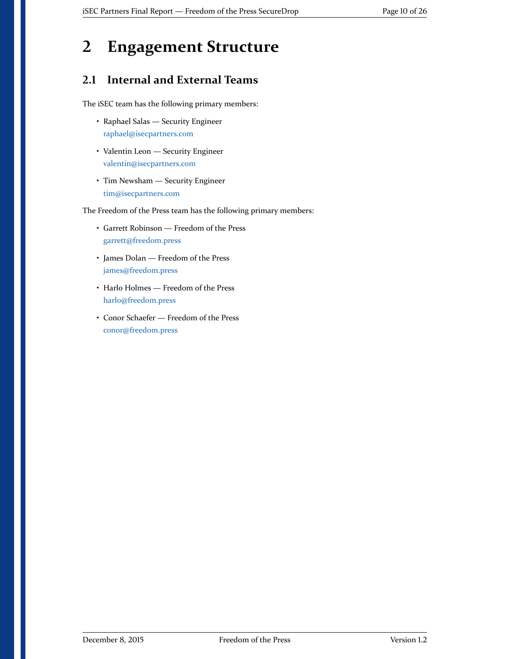### <span id="page-9-0"></span>**2 Engagement Structure**

#### <span id="page-9-1"></span>**2.1 Internal and External Teams**

The iSEC team has the following primary members:

- Raphael Salas Security Engineer [raphael@isecpartners.com](mailto:raphael@isecpartners.com)
- Valentin Leon Security Engineer [valentin@isecpartners.com](mailto:valentin@isecpartners.com)
- Tim Newsham Security Engineer [tim@isecpartners.com](mailto:tim@isecpartners.com)

The Freedom of the Press team has the following primary members:

- Garrett Robinson Freedom of the Press [garrett@freedom.press](mailto:garrett@freedom.press)
- James Dolan Freedom of the Press [james@freedom.press](mailto:james@freedom.press)
- Harlo Holmes Freedom of the Press [harlo@freedom.press](mailto:harlo@freedom.press)
- Conor Schaefer Freedom of the Press [conor@freedom.press](mailto:conor@freedom.press)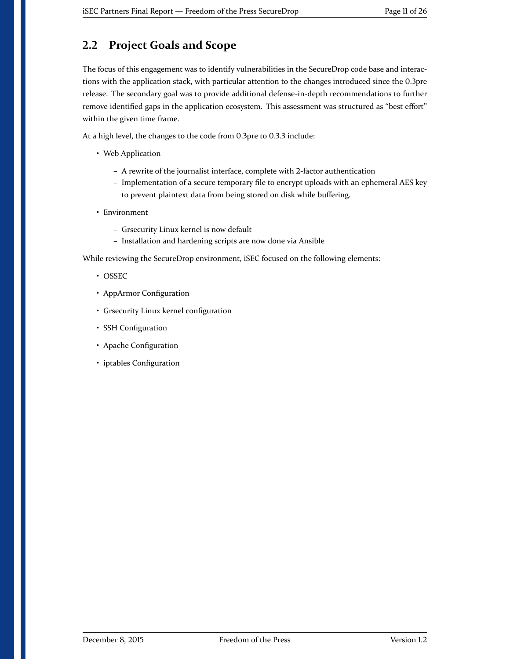#### <span id="page-10-0"></span>**2.2 Project Goals and Scope**

The focus of this engagement was to identify vulnerabilities in the SecureDrop code base and interactions with the application stack, with particular attention to the changes introduced since the 0.3pre release. The secondary goal was to provide additional defense-in-depth recommendations to further remove identified gaps in the application ecosystem. This assessment was structured as "best effort" within the given time frame.

At a high level, the changes to the code from 0.3pre to 0.3.3 include:

- Web Application
	- **–** A rewrite of the journalist interface, complete with 2-factor authentication
	- **–** Implementation of a secure temporary file to encrypt uploads with an ephemeral AES key to prevent plaintext data from being stored on disk while buffering.
- Environment
	- **–** Grsecurity Linux kernel is now default
	- **–** Installation and hardening scripts are now done via Ansible

While reviewing the SecureDrop environment, iSEC focused on the following elements:

- OSSEC
- AppArmor Configuration
- Grsecurity Linux kernel configuration
- SSH Configuration
- Apache Configuration
- iptables Configuration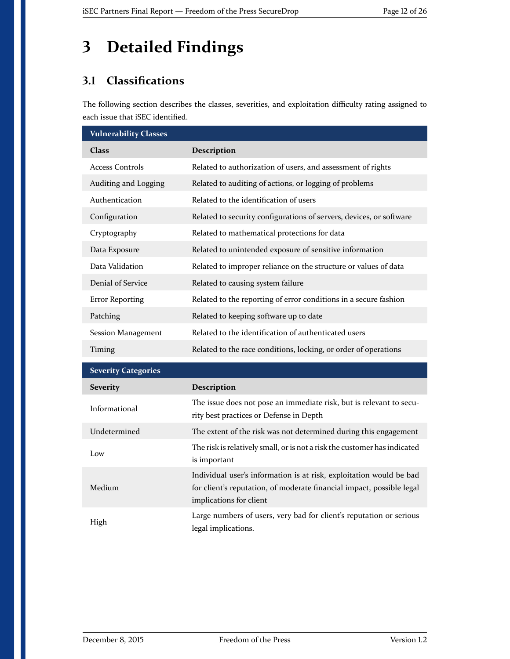## <span id="page-11-0"></span>**3 Detailed Findings**

### <span id="page-11-1"></span>**3.1 Classifications**

The following section describes the classes, severities, and exploitation difficulty rating assigned to each issue that iSEC identified.

| <b>Vulnerability Classes</b> |                                                                                                                                                                         |
|------------------------------|-------------------------------------------------------------------------------------------------------------------------------------------------------------------------|
| <b>Class</b>                 | Description                                                                                                                                                             |
| <b>Access Controls</b>       | Related to authorization of users, and assessment of rights                                                                                                             |
| Auditing and Logging         | Related to auditing of actions, or logging of problems                                                                                                                  |
| Authentication               | Related to the identification of users                                                                                                                                  |
| Configuration                | Related to security configurations of servers, devices, or software                                                                                                     |
| Cryptography                 | Related to mathematical protections for data                                                                                                                            |
| Data Exposure                | Related to unintended exposure of sensitive information                                                                                                                 |
| Data Validation              | Related to improper reliance on the structure or values of data                                                                                                         |
| Denial of Service            | Related to causing system failure                                                                                                                                       |
| <b>Error Reporting</b>       | Related to the reporting of error conditions in a secure fashion                                                                                                        |
| Patching                     | Related to keeping software up to date                                                                                                                                  |
| <b>Session Management</b>    | Related to the identification of authenticated users                                                                                                                    |
| Timing                       | Related to the race conditions, locking, or order of operations                                                                                                         |
| <b>Severity Categories</b>   |                                                                                                                                                                         |
| <b>Severity</b>              | Description                                                                                                                                                             |
| Informational                | The issue does not pose an immediate risk, but is relevant to secu-<br>rity best practices or Defense in Depth                                                          |
| Undetermined                 | The extent of the risk was not determined during this engagement                                                                                                        |
| Low                          | The risk is relatively small, or is not a risk the customer has indicated<br>is important                                                                               |
| Medium                       | Individual user's information is at risk, exploitation would be bad<br>for client's reputation, of moderate financial impact, possible legal<br>implications for client |
| High                         | Large numbers of users, very bad for client's reputation or serious<br>legal implications.                                                                              |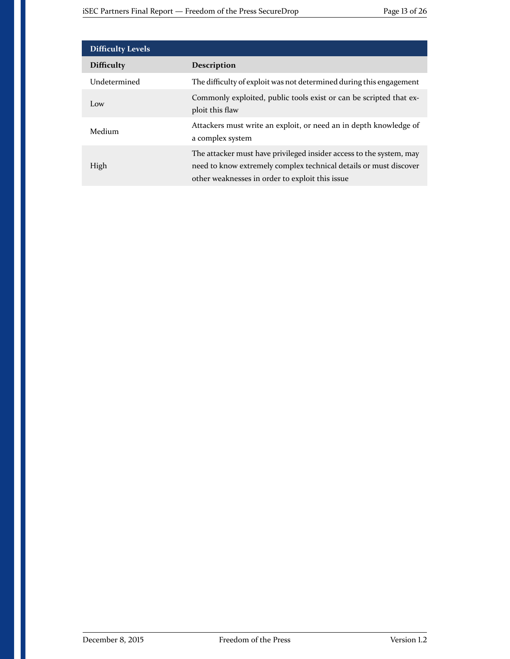| <b>Difficulty Levels</b> |                                                                                                                                                                                             |
|--------------------------|---------------------------------------------------------------------------------------------------------------------------------------------------------------------------------------------|
| <b>Difficulty</b>        | <b>Description</b>                                                                                                                                                                          |
| Undetermined             | The difficulty of exploit was not determined during this engagement                                                                                                                         |
| Low                      | Commonly exploited, public tools exist or can be scripted that ex-<br>ploit this flaw                                                                                                       |
| Medium                   | Attackers must write an exploit, or need an in depth knowledge of<br>a complex system                                                                                                       |
| High                     | The attacker must have privileged insider access to the system, may<br>need to know extremely complex technical details or must discover<br>other weaknesses in order to exploit this issue |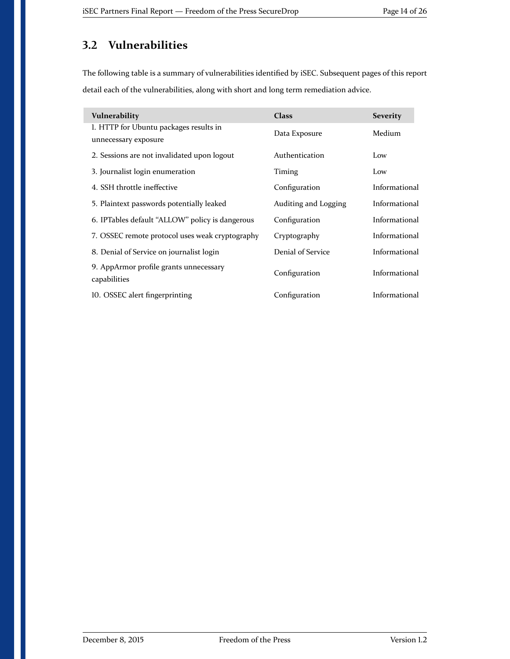#### <span id="page-13-0"></span>**3.2 Vulnerabilities**

The following table is a summary of vulnerabilities identified by iSEC. Subsequent pages of this report detail each of the vulnerabilities, along with short and long term remediation advice.

| Vulnerability                                                  | <b>Class</b>         | <b>Severity</b> |
|----------------------------------------------------------------|----------------------|-----------------|
| 1. HTTP for Ubuntu packages results in<br>unnecessary exposure | Data Exposure        | Medium          |
| 2. Sessions are not invalidated upon logout                    | Authentication       | Low             |
| 3. Journalist login enumeration                                | Timing               | Low             |
| 4. SSH throttle ineffective                                    | Configuration        | Informational   |
| 5. Plaintext passwords potentially leaked                      | Auditing and Logging | Informational   |
| 6. IPTables default "ALLOW" policy is dangerous                | Configuration        | Informational   |
| 7. OSSEC remote protocol uses weak cryptography                | Cryptography         | Informational   |
| 8. Denial of Service on journalist login                       | Denial of Service    | Informational   |
| 9. AppArmor profile grants unnecessary<br>capabilities         | Configuration        | Informational   |
| 10. OSSEC alert fingerprinting                                 | Configuration        | Informational   |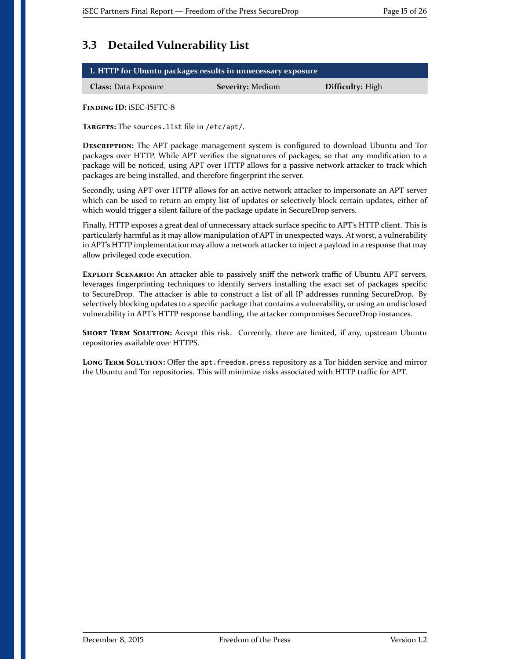#### <span id="page-14-0"></span>**3.3 Detailed Vulnerability List**

| 1. HTTP for Ubuntu packages results in unnecessary exposure |                         |                         |  |
|-------------------------------------------------------------|-------------------------|-------------------------|--|
| <b>Class: Data Exposure</b>                                 | <b>Severity: Medium</b> | <b>Difficulty:</b> High |  |

<span id="page-14-1"></span>**FINDING ID:** iSEC-15FTC-8

**TARGETS:** The sources.list file in /etc/apt/.

**DESCRIPTION:** The APT package management system is configured to download Ubuntu and Tor packages over HTTP. While APT verifies the signatures of packages, so that any modification to a package will be noticed, using APT over HTTP allows for a passive network attacker to track which packages are being installed, and therefore fingerprint the server.

Secondly, using APT over HTTP allows for an active network attacker to impersonate an APT server which can be used to return an empty list of updates or selectively block certain updates, either of which would trigger a silent failure of the package update in SecureDrop servers.

Finally, HTTP exposes a great deal of unnecessary attack surface specific to APT's HTTP client. This is particularly harmful as it may allow manipulation of APT in unexpected ways. At worst, a vulnerability in APT's HTTP implementation may allow a network attacker to inject a payload in a response that may allow privileged code execution.

**EXPLOIT SCENARIO:** An attacker able to passively sniff the network traffic of Ubuntu APT servers, leverages fingerprinting techniques to identify servers installing the exact set of packages specific to SecureDrop. The attacker is able to construct a list of all IP addresses running SecureDrop. By selectively blocking updates to a specific package that contains a vulnerability, or using an undisclosed vulnerability in APT's HTTP response handling, the attacker compromises SecureDrop instances.

**SHORT TERM SOLUTION:** Accept this risk. Currently, there are limited, if any, upstream Ubuntu repositories available over HTTPS.

LONG TERM SOLUTION: Offer the apt. freedom.press repository as a Tor hidden service and mirror the Ubuntu and Tor repositories. This will minimize risks associated with HTTP traffic for APT.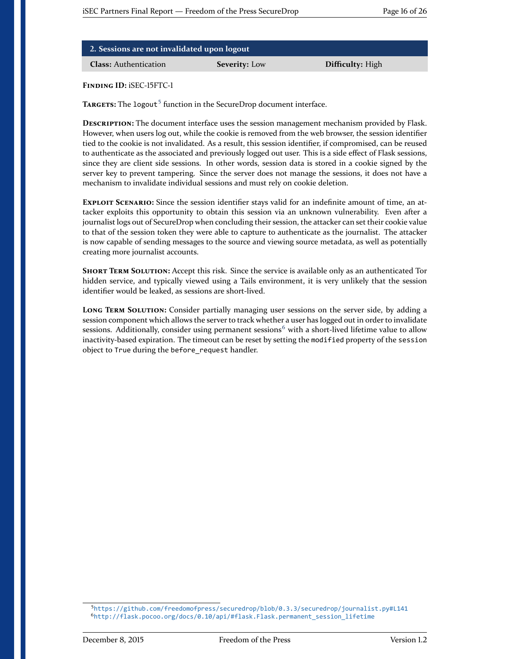| 2. Sessions are not invalidated upon logout |                      |                  |  |
|---------------------------------------------|----------------------|------------------|--|
| <b>Class:</b> Authentication                | <b>Severity:</b> Low | Difficulty: High |  |

<span id="page-15-0"></span>TARGETS: The logout<sup>[5](#page-15-1)</sup> function in the SecureDrop document interface.

**DESCRIPTION:** The document interface uses the session management mechanism provided by Flask. However, when users log out, while the cookie is removed from the web browser, the session identifier tied to the cookie is not invalidated. As a result, this session identifier, if compromised, can be reused to authenticate as the associated and previously logged out user. This is a side effect of Flask sessions, since they are client side sessions. In other words, session data is stored in a cookie signed by the server key to prevent tampering. Since the server does not manage the sessions, it does not have a mechanism to invalidate individual sessions and must rely on cookie deletion.

**EXPLOIT SCENARIO:** Since the session identifier stays valid for an indefinite amount of time, an attacker exploits this opportunity to obtain this session via an unknown vulnerability. Even after a journalist logs out of SecureDrop when concluding their session, the attacker can set their cookie value to that of the session token they were able to capture to authenticate as the journalist. The attacker is now capable of sending messages to the source and viewing source metadata, as well as potentially creating more journalist accounts.

**SHORT TERM SOLUTION:** Accept this risk. Since the service is available only as an authenticated Tor hidden service, and typically viewed using a Tails environment, it is very unlikely that the session identifier would be leaked, as sessions are short-lived.

**LONG TERM SOLUTION:** Consider partially managing user sessions on the server side, by adding a session component which allows the server to track whether a user has logged out in order to invalidate sessions. Additionally, consider using permanent sessions<sup>[6](#page-15-2)</sup> with a short-lived lifetime value to allow inactivity-based expiration. The timeout can be reset by setting the modified property of the session object to True during the before\_request handler.

<span id="page-15-2"></span><span id="page-15-1"></span><sup>5</sup><https://github.com/freedomofpress/securedrop/blob/0.3.3/securedrop/journalist.py#L141> <sup>6</sup>[http://flask.pocoo.org/docs/0.10/api/#flask.Flask.permanent\\_session\\_lifetime](http://flask.pocoo.org/docs/0.10/api/#flask.Flask.permanent_session_lifetime)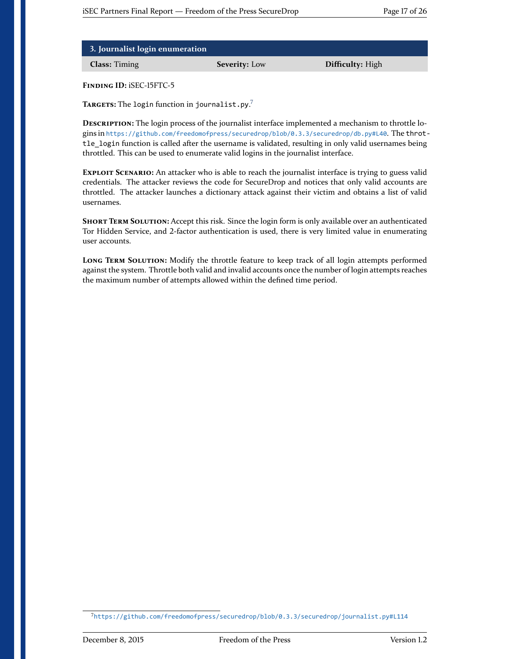| 3. Journalist login enumeration |                      |                  |
|---------------------------------|----------------------|------------------|
| <b>Class:</b> Timing            | <b>Severity:</b> Low | Difficulty: High |

<span id="page-16-0"></span>**TARGETS:** The login function in journalist.py. [7](#page-16-1)

**DESCRIPTION:** The login process of the journalist interface implemented a mechanism to throttle logins in <https://github.com/freedomofpress/securedrop/blob/0.3.3/securedrop/db.py#L40>. The throttle\_login function is called after the username is validated, resulting in only valid usernames being throttled. This can be used to enumerate valid logins in the journalist interface.

**EXPLOIT SCENARIO:** An attacker who is able to reach the journalist interface is trying to guess valid credentials. The attacker reviews the code for SecureDrop and notices that only valid accounts are throttled. The attacker launches a dictionary attack against their victim and obtains a list of valid usernames.

**SHORT TERM SOLUTION:** Accept this risk. Since the login form is only available over an authenticated Tor Hidden Service, and 2-factor authentication is used, there is very limited value in enumerating user accounts.

**LONG TERM SOLUTION:** Modify the throttle feature to keep track of all login attempts performed against the system. Throttle both valid and invalid accounts once the number of login attempts reaches the maximum number of attempts allowed within the defined time period.

<span id="page-16-1"></span><sup>7</sup><https://github.com/freedomofpress/securedrop/blob/0.3.3/securedrop/journalist.py#L114>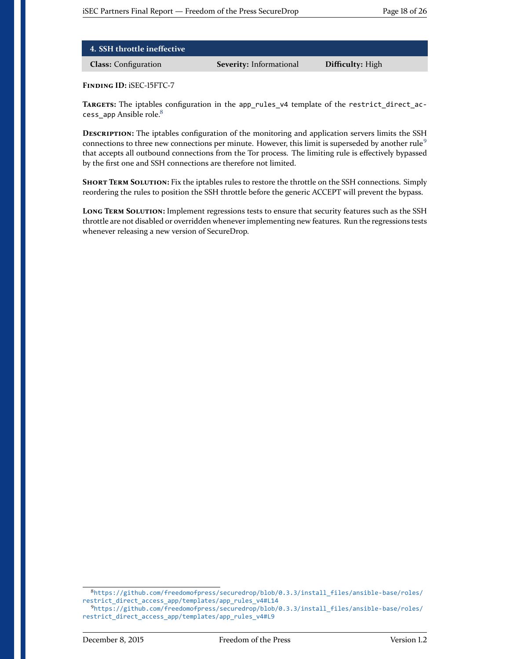| 4. SSH throttle ineffective |                                |                  |
|-----------------------------|--------------------------------|------------------|
| <b>Class:</b> Configuration | <b>Severity: Informational</b> | Difficulty: High |

<span id="page-17-0"></span>**TARGETS:** The iptables configuration in the app\_rules\_v4 template of the restrict\_direct\_ac-cess app Ansible role.<sup>[8](#page-17-1)</sup>

**DESCRIPTION:** The iptables configuration of the monitoring and application servers limits the SSH connections to three new connections per minute. However, this limit is superseded by another rule<sup>[9](#page-17-2)</sup> that accepts all outbound connections from the Tor process. The limiting rule is effectively bypassed by the first one and SSH connections are therefore not limited.

**SHORT TERM SOLUTION:** Fix the iptables rules to restore the throttle on the SSH connections. Simply reordering the rules to position the SSH throttle before the generic ACCEPT will prevent the bypass.

**LONG TERM SOLUTION:** Implement regressions tests to ensure that security features such as the SSH throttle are not disabled or overridden whenever implementing new features. Run the regressions tests whenever releasing a new version of SecureDrop.

<span id="page-17-1"></span><sup>8</sup>[https://github.com/freedomofpress/securedrop/blob/0.3.3/install\\_files/ansible-base/roles/](https://github.com/freedomofpress/securedrop/blob/0.3.3/install_files/ansible-base/roles/restrict_direct_access_app/templates/app_rules_v4#L14) [restrict\\_direct\\_access\\_app/templates/app\\_rules\\_v4#L14](https://github.com/freedomofpress/securedrop/blob/0.3.3/install_files/ansible-base/roles/restrict_direct_access_app/templates/app_rules_v4#L14)

<span id="page-17-2"></span><sup>9</sup>[https://github.com/freedomofpress/securedrop/blob/0.3.3/install\\_files/ansible-base/roles/](https://github.com/freedomofpress/securedrop/blob/0.3.3/install_files/ansible-base/roles/restrict_direct_access_app/templates/app_rules_v4#L9) [restrict\\_direct\\_access\\_app/templates/app\\_rules\\_v4#L9](https://github.com/freedomofpress/securedrop/blob/0.3.3/install_files/ansible-base/roles/restrict_direct_access_app/templates/app_rules_v4#L9)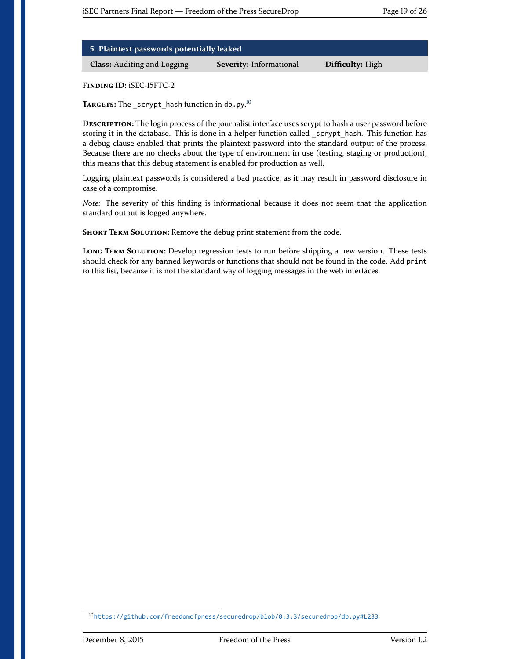| 5. Plaintext passwords potentially leaked |  |  |
|-------------------------------------------|--|--|
|-------------------------------------------|--|--|

**Class:** Auditing and Logging **Severity:** Informational **Difficulty:** High

<span id="page-18-0"></span>**FINDING ID:** iSEC-15FTC-2

**TARGETS:** The \_scrypt\_hash function in db.py. [10](#page-18-1)

**DESCRIPTION:** The login process of the journalist interface uses scrypt to hash a user password before storing it in the database. This is done in a helper function called \_scrypt\_hash. This function has a debug clause enabled that prints the plaintext password into the standard output of the process. Because there are no checks about the type of environment in use (testing, staging or production), this means that this debug statement is enabled for production as well.

Logging plaintext passwords is considered a bad practice, as it may result in password disclosure in case of a compromise.

*Note:* The severity of this finding is informational because it does not seem that the application standard output is logged anywhere.

**SHORT TERM SOLUTION:** Remove the debug print statement from the code.

**LONG TERM SOLUTION:** Develop regression tests to run before shipping a new version. These tests should check for any banned keywords or functions that should not be found in the code. Add print to this list, because it is not the standard way of logging messages in the web interfaces.

<span id="page-18-1"></span><sup>10</sup><https://github.com/freedomofpress/securedrop/blob/0.3.3/securedrop/db.py#L233>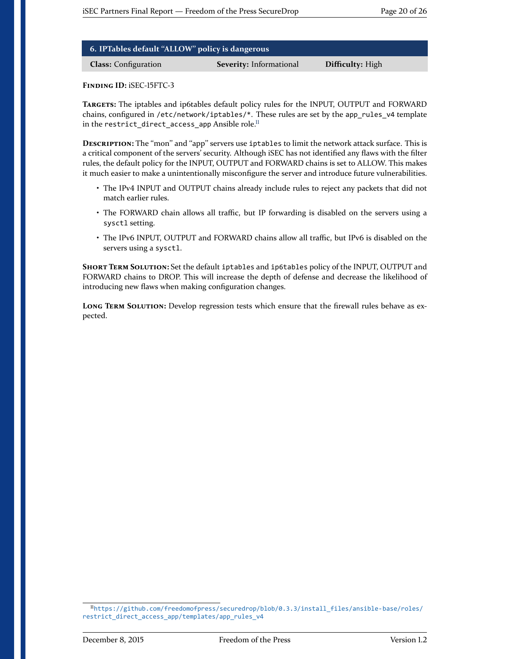| 6. IPTables default "ALLOW" policy is dangerous |                                |                  |  |
|-------------------------------------------------|--------------------------------|------------------|--|
| <b>Class:</b> Configuration                     | <b>Severity:</b> Informational | Difficulty: High |  |

<span id="page-19-0"></span>**TARGETS:** The iptables and ip6tables default policy rules for the INPUT, OUTPUT and FORWARD chains, configured in /etc/network/iptables/\*. These rules are set by the app\_rules\_v4 template in the restrict direct access app Ansible role.<sup>[11](#page-19-1)</sup>

**DESCRIPTION:** The "mon" and "app" servers use iptables to limit the network attack surface. This is a critical component of the servers' security. Although iSEC has not identified any flaws with the filter rules, the default policy for the INPUT, OUTPUT and FORWARD chains is set to ALLOW. This makes it much easier to make a unintentionally misconfigure the server and introduce future vulnerabilities.

- The IPv4 INPUT and OUTPUT chains already include rules to reject any packets that did not match earlier rules.
- The FORWARD chain allows all traffic, but IP forwarding is disabled on the servers using a sysctl setting.
- The IPv6 INPUT, OUTPUT and FORWARD chains allow all traffic, but IPv6 is disabled on the servers using a sysctl.

**SHORT TERM SOLUTION:** Set the default iptables and ip6tables policy of the INPUT, OUTPUT and FORWARD chains to DROP. This will increase the depth of defense and decrease the likelihood of introducing new flaws when making configuration changes.

**LONG TERM SOLUTION:** Develop regression tests which ensure that the firewall rules behave as expected.

<span id="page-19-1"></span><sup>11</sup>[https://github.com/freedomofpress/securedrop/blob/0.3.3/install\\_files/ansible-base/roles/](https://github.com/freedomofpress/securedrop/blob/0.3.3/install_files/ansible-base/roles/restrict_direct_access_app/templates/app_rules_v4) [restrict\\_direct\\_access\\_app/templates/app\\_rules\\_v4](https://github.com/freedomofpress/securedrop/blob/0.3.3/install_files/ansible-base/roles/restrict_direct_access_app/templates/app_rules_v4)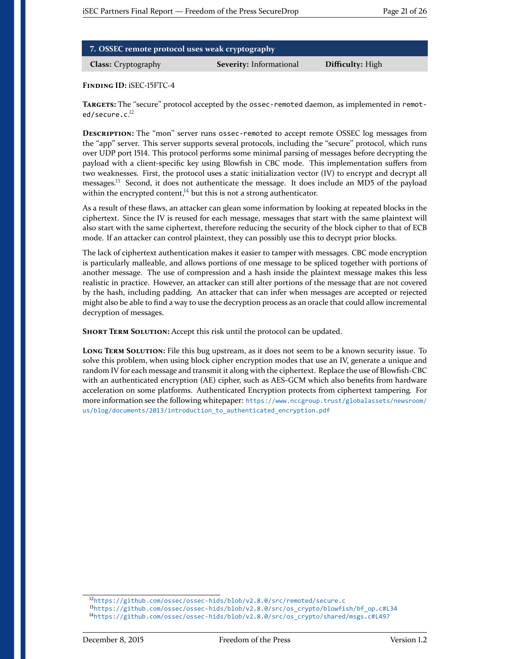| 7. OSSEC remote protocol uses weak cryptography |                                |                  |
|-------------------------------------------------|--------------------------------|------------------|
| <b>Class:</b> Cryptography                      | <b>Severity:</b> Informational | Difficulty: High |

<span id="page-20-0"></span>TARGETS: The "secure" protocol accepted by the ossec-remoted daemon, as implemented in remot-ed/secure.c.<sup>[12](#page-20-1)</sup>

**DESCRIPTION:** The "mon" server runs ossec-remoted to accept remote OSSEC log messages from the "app" server. This server supports several protocols, including the "secure" protocol, which runs over UDP port 1514. This protocol performs some minimal parsing of messages before decrypting the payload with a client-specific key using Blowfish in CBC mode. This implementation suffers from two weaknesses. First, the protocol uses a static initialization vector (IV) to encrypt and decrypt all messages.<sup>[13](#page-20-2)</sup> Second, it does not authenticate the message. It does include an MD5 of the payload within the encrypted content, $14$  but this is not a strong authenticator.

As a result of these flaws, an attacker can glean some information by looking at repeated blocks in the ciphertext. Since the IV is reused for each message, messages that start with the same plaintext will also start with the same ciphertext, therefore reducing the security of the block cipher to that of ECB mode. If an attacker can control plaintext, they can possibly use this to decrypt prior blocks.

The lack of ciphertext authentication makes it easier to tamper with messages. CBC mode encryption is particularly malleable, and allows portions of one message to be spliced together with portions of another message. The use of compression and a hash inside the plaintext message makes this less realistic in practice. However, an attacker can still alter portions of the message that are not covered by the hash, including padding. An attacker that can infer when messages are accepted or rejected might also be able to find a way to use the decryption process as an oracle that could allow incremental decryption of messages.

**SHORT TERM SOLUTION:** Accept this risk until the protocol can be updated.

**LONG TERM SOLUTION:** File this bug upstream, as it does not seem to be a known security issue. To solve this problem, when using block cipher encryption modes that use an IV, generate a unique and random IV for each message and transmit it along with the ciphertext. Replace the use of Blowfish-CBC with an authenticated encryption (AE) cipher, such as AES-GCM which also benefits from hardware acceleration on some platforms. Authenticated Encryption protects from ciphertext tampering. For more information see the following whitepaper: [https://www.nccgroup.trust/globalassets/newsroom/](https://www.nccgroup.trust/globalassets/newsroom/us/blog/documents/2013/introduction_to_authenticated_encryption.pdf) [us/blog/documents/2013/introduction\\_to\\_authenticated\\_encryption.pdf](https://www.nccgroup.trust/globalassets/newsroom/us/blog/documents/2013/introduction_to_authenticated_encryption.pdf)

<span id="page-20-1"></span><sup>12</sup><https://github.com/ossec/ossec-hids/blob/v2.8.0/src/remoted/secure.c>

<span id="page-20-3"></span><span id="page-20-2"></span><sup>13</sup>[https://github.com/ossec/ossec-hids/blob/v2.8.0/src/os\\_crypto/blowfish/bf\\_op.c#L34](https://github.com/ossec/ossec-hids/blob/v2.8.0/src/os_crypto/blowfish/bf_op.c#L34) <sup>14</sup>[https://github.com/ossec/ossec-hids/blob/v2.8.0/src/os\\_crypto/shared/msgs.c#L497](https://github.com/ossec/ossec-hids/blob/v2.8.0/src/os_crypto/shared/msgs.c#L497)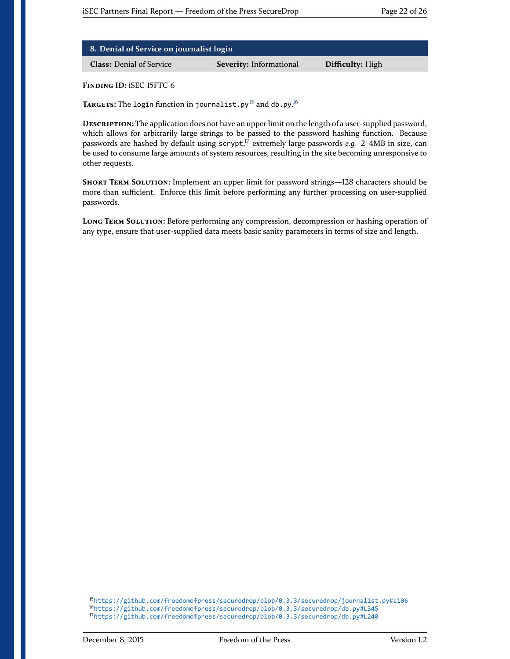| 8. Denial of Service on journalist login |                         |                         |
|------------------------------------------|-------------------------|-------------------------|
| <b>Class:</b> Denial of Service          | Severity: Informational | <b>Difficulty:</b> High |

<span id="page-21-0"></span> $\mathbf{T}_{\mathbf{A}\mathbf{R}\mathbf{G}\mathbf{E}\mathbf{T}\mathbf{S}}$ : The login function in journalist  $\mathsf{.}$  py  $^{15}$  $^{15}$  $^{15}$  and db  $\mathsf{.}$  py  $^{16}$  $^{16}$  $^{16}$ 

**DESCRIPTION:** The application does not have an upper limit on the length of a user-supplied password, which allows for arbitrarily large strings to be passed to the password hashing function. Because passwords are hashed by default using scrypt, [17](#page-21-3) extremely large passwords *e.g.* 2–4MB in size, can be used to consume large amounts of system resources, resulting in the site becoming unresponsive to other requests.

**SHORT TERM SOLUTION:** Implement an upper limit for password strings—128 characters should be more than sufficient. Enforce this limit before performing any further processing on user-supplied passwords.

**LONG TERM SOLUTION:** Before performing any compression, decompression or hashing operation of any type, ensure that user-supplied data meets basic sanity parameters in terms of size and length.

<span id="page-21-3"></span><span id="page-21-2"></span><span id="page-21-1"></span><sup>15</sup><https://github.com/freedomofpress/securedrop/blob/0.3.3/securedrop/journalist.py#L106> <sup>16</sup><https://github.com/freedomofpress/securedrop/blob/0.3.3/securedrop/db.py#L345> <sup>17</sup><https://github.com/freedomofpress/securedrop/blob/0.3.3/securedrop/db.py#L240>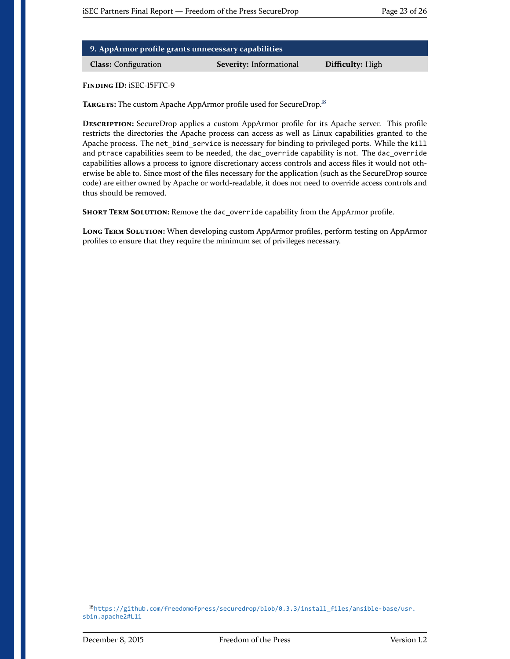| 9. AppArmor profile grants unnecessary capabilities |                                |                         |
|-----------------------------------------------------|--------------------------------|-------------------------|
| <b>Class:</b> Configuration                         | <b>Severity:</b> Informational | <b>Difficulty:</b> High |

<span id="page-22-0"></span>**TARGETS:** The custom Apache AppArmor profile used for SecureDrop.[18](#page-22-1)

**DESCRIPTION:** SecureDrop applies a custom AppArmor profile for its Apache server. This profile restricts the directories the Apache process can access as well as Linux capabilities granted to the Apache process. The net\_bind\_service is necessary for binding to privileged ports. While the kill and ptrace capabilities seem to be needed, the dac\_override capability is not. The dac\_override capabilities allows a process to ignore discretionary access controls and access files it would not otherwise be able to. Since most of the files necessary for the application (such as the SecureDrop source code) are either owned by Apache or world-readable, it does not need to override access controls and thus should be removed.

**SHORT TERM SOLUTION:** Remove the dac\_override capability from the AppArmor profile.

**LONG TERM SOLUTION:** When developing custom AppArmor profiles, perform testing on AppArmor profiles to ensure that they require the minimum set of privileges necessary.

<span id="page-22-1"></span><sup>18</sup>[https://github.com/freedomofpress/securedrop/blob/0.3.3/install\\_files/ansible-base/usr.](https://github.com/freedomofpress/securedrop/blob/0.3.3/install_files/ansible-base/usr.sbin.apache2#L11) [sbin.apache2#L11](https://github.com/freedomofpress/securedrop/blob/0.3.3/install_files/ansible-base/usr.sbin.apache2#L11)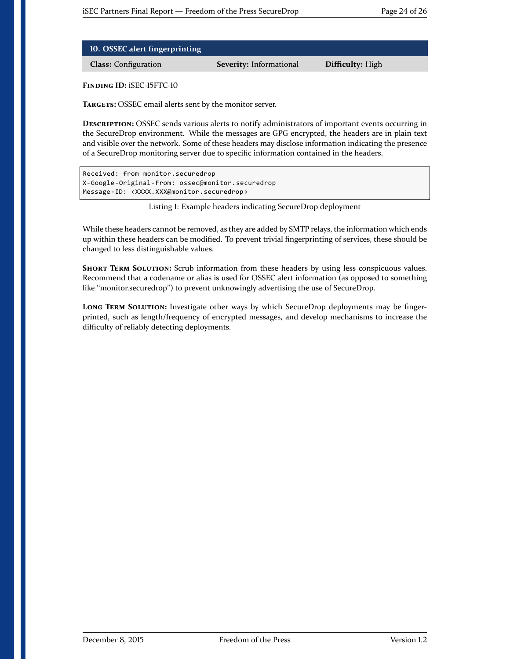| 10. OSSEC alert fingerprinting |                                |                  |
|--------------------------------|--------------------------------|------------------|
| <b>Class:</b> Configuration    | <b>Severity:</b> Informational | Difficulty: High |

<span id="page-23-1"></span>**TARGETS:** OSSEC email alerts sent by the monitor server.

**DESCRIPTION:** OSSEC sends various alerts to notify administrators of important events occurring in the SecureDrop environment. While the messages are GPG encrypted, the headers are in plain text and visible over the network. Some of these headers may disclose information indicating the presence of a SecureDrop monitoring server due to specific information contained in the headers.

```
Received: from monitor.securedrop
X-Google-Original-From: ossec@monitor.securedrop
Message-ID: <XXXX.XXX@monitor.securedrop>
```
Listing 1: Example headers indicating SecureDrop deployment

While these headers cannot be removed, as they are added by SMTP relays, the information which ends up within these headers can be modified. To prevent trivial fingerprinting of services, these should be changed to less distinguishable values.

**SHORT TERM SOLUTION:** Scrub information from these headers by using less conspicuous values. Recommend that a codename or alias is used for OSSEC alert information (as opposed to something like "monitor.securedrop") to prevent unknowingly advertising the use of SecureDrop.

<span id="page-23-0"></span>**LONG TERM SOLUTION:** Investigate other ways by which SecureDrop deployments may be fingerprinted, such as length/frequency of encrypted messages, and develop mechanisms to increase the difficulty of reliably detecting deployments.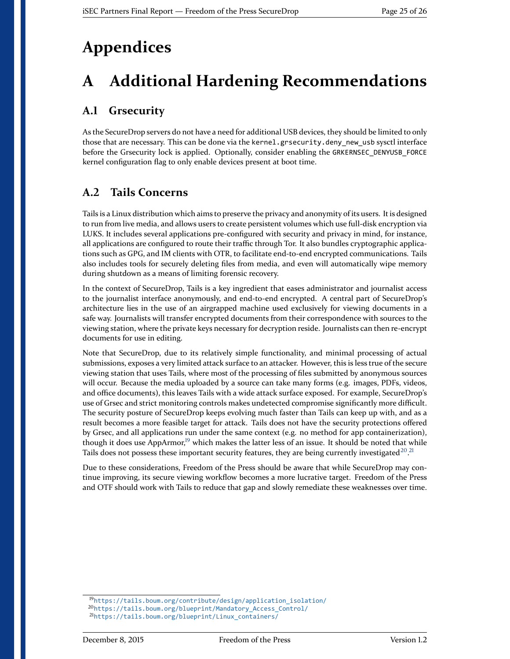## **Appendices**

## <span id="page-24-0"></span>**A Additional Hardening Recommendations**

#### <span id="page-24-1"></span>**A.1 Grsecurity**

As the SecureDrop servers do not have a need for additional USB devices, they should be limited to only those that are necessary. This can be done via the kernel.grsecurity.deny\_new\_usb sysctl interface before the Grsecurity lock is applied. Optionally, consider enabling the GRKERNSEC\_DENYUSB\_FORCE kernel configuration flag to only enable devices present at boot time.

#### <span id="page-24-2"></span>**A.2 Tails Concerns**

Tails is a Linux distribution which aims to preserve the privacy and anonymity of its users. It is designed to run from live media, and allows users to create persistent volumes which use full-disk encryption via LUKS. It includes several applications pre-configured with security and privacy in mind, for instance, all applications are configured to route their traffic through Tor. It also bundles cryptographic applications such as GPG, and IM clients with OTR, to facilitate end-to-end encrypted communications. Tails also includes tools for securely deleting files from media, and even will automatically wipe memory during shutdown as a means of limiting forensic recovery.

In the context of SecureDrop, Tails is a key ingredient that eases administrator and journalist access to the journalist interface anonymously, and end-to-end encrypted. A central part of SecureDrop's architecture lies in the use of an airgrapped machine used exclusively for viewing documents in a safe way. Journalists will transfer encrypted documents from their correspondence with sources to the viewing station, where the private keys necessary for decryption reside. Journalists can then re-encrypt documents for use in editing.

Note that SecureDrop, due to its relatively simple functionality, and minimal processing of actual submissions, exposes a very limited attack surface to an attacker. However, this is less true of the secure viewing station that uses Tails, where most of the processing of files submitted by anonymous sources will occur. Because the media uploaded by a source can take many forms (e.g. images, PDFs, videos, and office documents), this leaves Tails with a wide attack surface exposed. For example, SecureDrop's use of Grsec and strict monitoring controls makes undetected compromise significantly more difficult. The security posture of SecureDrop keeps evolving much faster than Tails can keep up with, and as a result becomes a more feasible target for attack. Tails does not have the security protections offered by Grsec, and all applications run under the same context (e.g. no method for app containerization), though it does use AppArmor,<sup>[19](#page-24-3)</sup> which makes the latter less of an issue. It should be noted that while Tails does not possess these important security features, they are being currently investigated  $^{20,21}$  $^{20,21}$  $^{20,21}$  $^{20,21}$  $^{20,21}$ 

Due to these considerations, Freedom of the Press should be aware that while SecureDrop may continue improving, its secure viewing workflow becomes a more lucrative target. Freedom of the Press and OTF should work with Tails to reduce that gap and slowly remediate these weaknesses over time.

<span id="page-24-3"></span><sup>19</sup>[https://tails.boum.org/contribute/design/application\\_isolation/](https://tails.boum.org/contribute/design/application_isolation/)

<span id="page-24-4"></span><sup>20</sup>[https://tails.boum.org/blueprint/Mandatory\\_Access\\_Control/](https://tails.boum.org/blueprint/Mandatory_Access_Control/)

<span id="page-24-5"></span><sup>21</sup>[https://tails.boum.org/blueprint/Linux\\_containers/](https://tails.boum.org/blueprint/Linux_containers/)